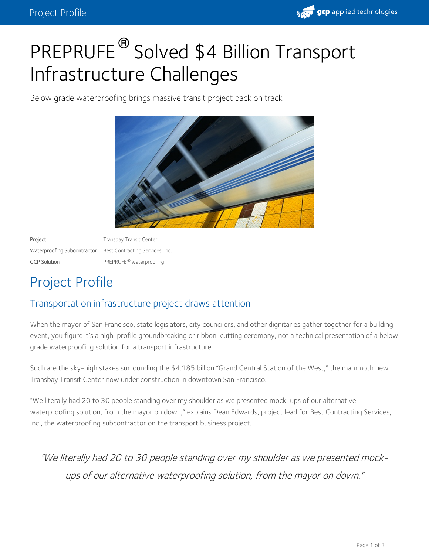

# PREPRUFE<sup>®</sup> Solved \$4 Billion Transport Infrastructure Challenges

Below grade waterproofing brings massive transit project back on track



Project **Transbay Transit Center** Waterproofing Subcontractor Best Contracting Services, Inc. GCP Solution **PREPRUFE®** waterproofing

## Project Profile

#### Transportation infrastructure project draws attention

When the mayor of San Francisco, state legislators, city councilors, and other dignitaries gather together for a building event, you figure it's a high-profile groundbreaking or ribbon-cutting ceremony, not a technical presentation of a below grade waterproofing solution for a transport infrastructure.

Such are the sky-high stakes surrounding the \$4.185 billion "Grand Central Station of the West," the mammoth new Transbay Transit Center now under construction in downtown San Francisco.

"We literally had 20 to 30 people standing over my shoulder as we presented mock-ups of our alternative waterproofing solution, from the mayor on down," explains Dean Edwards, project lead for Best Contracting Services, Inc., the waterproofing subcontractor on the transport business project.

"We literally had 20 to 30 people standing over my shoulder as we presented mock ups of our alternative waterproofing solution, from the mayor on down."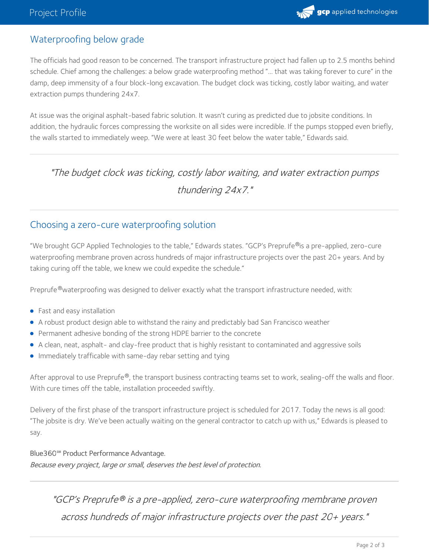

#### Waterproofing below grade

The officials had good reason to be concerned. The transport infrastructure project had fallen up to 2.5 months behind schedule. Chief among the challenges: a below grade waterproofing method "… that was taking forever to cure" in the damp, deep immensity of a four block-long excavation. The budget clock was ticking, costly labor waiting, and water extraction pumps thundering 24x7.

At issue was the original asphalt-based fabric solution. It wasn't curing as predicted due to jobsite conditions. In addition, the hydraulic forces compressing the worksite on all sides were incredible. If the pumps stopped even briefly, the walls started to immediately weep. "We were at least 30 feet below the water table," Edwards said.

### "The budget clock was ticking, costly labor waiting, and water extraction pumps thundering 24x7."

#### Choosing a zero-cure waterproofing solution

"We brought GCP Applied Technologies to the table," Edwards states. "GCP's Preprufe®is a pre-applied, zero-cure waterproofing membrane proven across hundreds of major infrastructure projects over the past 20+ years. And by taking curing off the table, we knew we could expedite the schedule."

Preprufe®waterproofing was designed to deliver exactly what the transport infrastructure needed, with:

- Fast and easy installation
- A robust product design able to withstand the rainy and predictably bad San Francisco weather
- Permanent adhesive bonding of the strong HDPE barrier to the concrete
- A clean, neat, asphalt- and clay-free product that is highly resistant to contaminated and aggressive soils
- **Immediately trafficable with same-day rebar setting and tying**

After approval to use Preprufe $^\circledast$ , the transport business contracting teams set to work, sealing-off the walls and floor. With cure times off the table, installation proceeded swiftly.

Delivery of the first phase of the transport infrastructure project is scheduled for 2017. Today the news is all good: "The jobsite is dry. We've been actually waiting on the general contractor to catch up with us," Edwards is pleased to say.

Blue360**℠** Product Performance Advantage.

Because every project, large or small, deserves the best level of protection.

"GCP's Preprufe® is a pre-applied, zero-cure waterproofing membrane proven across hundreds of major infrastructure projects over the past 20+ years."